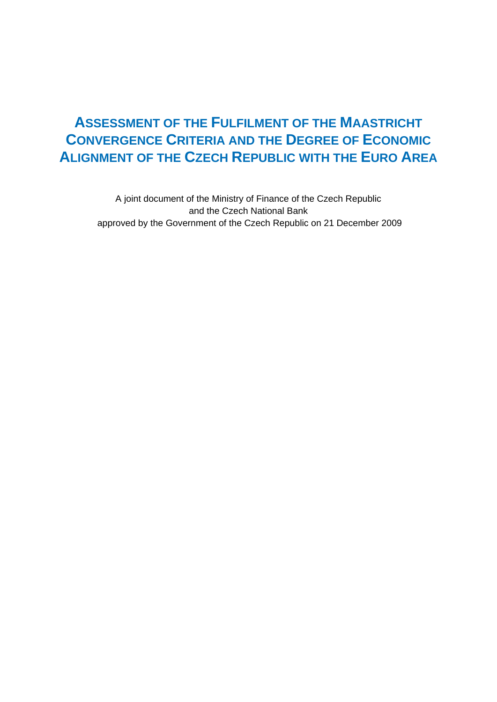# **ASSESSMENT OF THE FULFILMENT OF THE MAASTRICHT CONVERGENCE CRITERIA AND THE DEGREE OF ECONOMIC ALIGNMENT OF THE CZECH REPUBLIC WITH THE EURO AREA**

A joint document of the Ministry of Finance of the Czech Republic and the Czech National Bank approved by the Government of the Czech Republic on 21 December 2009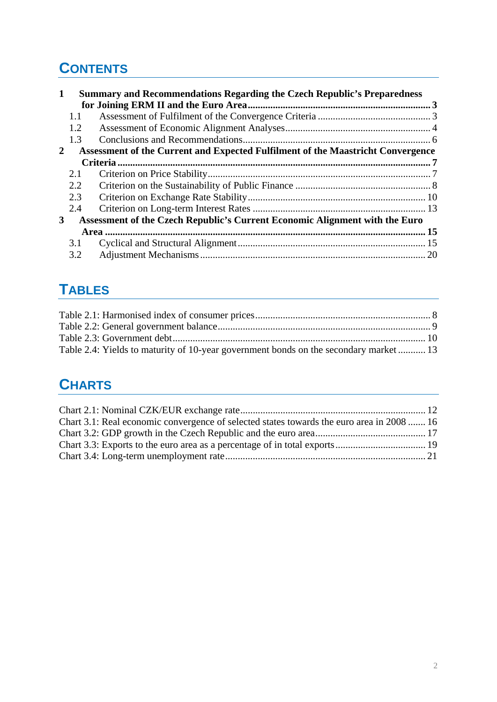# **CONTENTS**

| $\mathbf 1$ |     | Summary and Recommendations Regarding the Czech Republic's Preparedness         |  |
|-------------|-----|---------------------------------------------------------------------------------|--|
|             |     |                                                                                 |  |
|             | 1.1 |                                                                                 |  |
|             | 1.2 |                                                                                 |  |
|             | 1.3 |                                                                                 |  |
| 2           |     | Assessment of the Current and Expected Fulfilment of the Maastricht Convergence |  |
|             |     |                                                                                 |  |
|             | 2.1 |                                                                                 |  |
|             | 2.2 |                                                                                 |  |
|             | 2.3 |                                                                                 |  |
|             | 2.4 |                                                                                 |  |
| 3           |     | Assessment of the Czech Republic's Current Economic Alignment with the Euro     |  |
|             |     |                                                                                 |  |
|             | 3.1 |                                                                                 |  |
|             | 3.2 |                                                                                 |  |

# **TABLES**

| Table 2.4: Yields to maturity of 10-year government bonds on the secondary market  13 |  |
|---------------------------------------------------------------------------------------|--|

# **CHARTS**

| Chart 3.1: Real economic convergence of selected states towards the euro area in 2008  16 |
|-------------------------------------------------------------------------------------------|
|                                                                                           |
|                                                                                           |
|                                                                                           |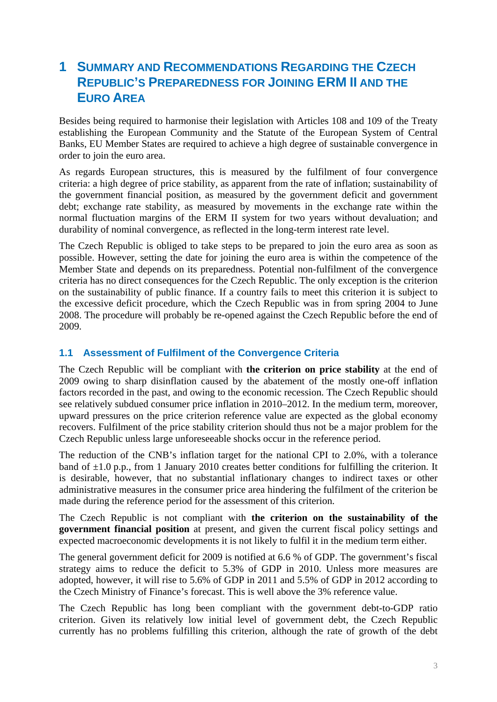# **1 SUMMARY AND RECOMMENDATIONS REGARDING THE CZECH REPUBLIC'S PREPAREDNESS FOR JOINING ERM II AND THE EURO AREA**

Besides being required to harmonise their legislation with Articles 108 and 109 of the Treaty establishing the European Community and the Statute of the European System of Central Banks, EU Member States are required to achieve a high degree of sustainable convergence in order to join the euro area.

As regards European structures, this is measured by the fulfilment of four convergence criteria: a high degree of price stability, as apparent from the rate of inflation; sustainability of the government financial position, as measured by the government deficit and government debt; exchange rate stability, as measured by movements in the exchange rate within the normal fluctuation margins of the ERM II system for two years without devaluation; and durability of nominal convergence, as reflected in the long-term interest rate level.

The Czech Republic is obliged to take steps to be prepared to join the euro area as soon as possible. However, setting the date for joining the euro area is within the competence of the Member State and depends on its preparedness. Potential non-fulfilment of the convergence criteria has no direct consequences for the Czech Republic. The only exception is the criterion on the sustainability of public finance. If a country fails to meet this criterion it is subject to the excessive deficit procedure, which the Czech Republic was in from spring 2004 to June 2008. The procedure will probably be re-opened against the Czech Republic before the end of 2009.

## **1.1 Assessment of Fulfilment of the Convergence Criteria**

The Czech Republic will be compliant with **the criterion on price stability** at the end of 2009 owing to sharp disinflation caused by the abatement of the mostly one-off inflation factors recorded in the past, and owing to the economic recession. The Czech Republic should see relatively subdued consumer price inflation in 2010–2012. In the medium term, moreover, upward pressures on the price criterion reference value are expected as the global economy recovers. Fulfilment of the price stability criterion should thus not be a major problem for the Czech Republic unless large unforeseeable shocks occur in the reference period.

The reduction of the CNB's inflation target for the national CPI to 2.0%, with a tolerance band of  $\pm 1.0$  p.p., from 1 January 2010 creates better conditions for fulfilling the criterion. It is desirable, however, that no substantial inflationary changes to indirect taxes or other administrative measures in the consumer price area hindering the fulfilment of the criterion be made during the reference period for the assessment of this criterion.

The Czech Republic is not compliant with **the criterion on the sustainability of the government financial position** at present, and given the current fiscal policy settings and expected macroeconomic developments it is not likely to fulfil it in the medium term either.

The general government deficit for 2009 is notified at 6.6 % of GDP. The government's fiscal strategy aims to reduce the deficit to 5.3% of GDP in 2010. Unless more measures are adopted, however, it will rise to 5.6% of GDP in 2011 and 5.5% of GDP in 2012 according to the Czech Ministry of Finance's forecast. This is well above the 3% reference value.

The Czech Republic has long been compliant with the government debt-to-GDP ratio criterion. Given its relatively low initial level of government debt, the Czech Republic currently has no problems fulfilling this criterion, although the rate of growth of the debt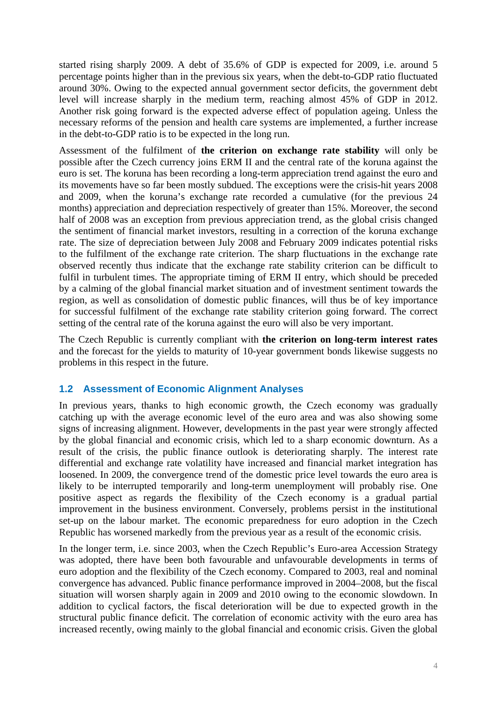started rising sharply 2009. A debt of 35.6% of GDP is expected for 2009, i.e. around 5 percentage points higher than in the previous six years, when the debt-to-GDP ratio fluctuated around 30%. Owing to the expected annual government sector deficits, the government debt level will increase sharply in the medium term, reaching almost 45% of GDP in 2012. Another risk going forward is the expected adverse effect of population ageing. Unless the necessary reforms of the pension and health care systems are implemented, a further increase in the debt-to-GDP ratio is to be expected in the long run.

Assessment of the fulfilment of **the criterion on exchange rate stability** will only be possible after the Czech currency joins ERM II and the central rate of the koruna against the euro is set. The koruna has been recording a long-term appreciation trend against the euro and its movements have so far been mostly subdued. The exceptions were the crisis-hit years 2008 and 2009, when the koruna's exchange rate recorded a cumulative (for the previous 24 months) appreciation and depreciation respectively of greater than 15%. Moreover, the second half of 2008 was an exception from previous appreciation trend, as the global crisis changed the sentiment of financial market investors, resulting in a correction of the koruna exchange rate. The size of depreciation between July 2008 and February 2009 indicates potential risks to the fulfilment of the exchange rate criterion. The sharp fluctuations in the exchange rate observed recently thus indicate that the exchange rate stability criterion can be difficult to fulfil in turbulent times. The appropriate timing of ERM II entry, which should be preceded by a calming of the global financial market situation and of investment sentiment towards the region, as well as consolidation of domestic public finances, will thus be of key importance for successful fulfilment of the exchange rate stability criterion going forward. The correct setting of the central rate of the koruna against the euro will also be very important.

The Czech Republic is currently compliant with **the criterion on long-term interest rates** and the forecast for the yields to maturity of 10-year government bonds likewise suggests no problems in this respect in the future.

# **1.2 Assessment of Economic Alignment Analyses**

In previous years, thanks to high economic growth, the Czech economy was gradually catching up with the average economic level of the euro area and was also showing some signs of increasing alignment. However, developments in the past year were strongly affected by the global financial and economic crisis, which led to a sharp economic downturn. As a result of the crisis, the public finance outlook is deteriorating sharply. The interest rate differential and exchange rate volatility have increased and financial market integration has loosened. In 2009, the convergence trend of the domestic price level towards the euro area is likely to be interrupted temporarily and long-term unemployment will probably rise. One positive aspect as regards the flexibility of the Czech economy is a gradual partial improvement in the business environment. Conversely, problems persist in the institutional set-up on the labour market. The economic preparedness for euro adoption in the Czech Republic has worsened markedly from the previous year as a result of the economic crisis.

In the longer term, i.e. since 2003, when the Czech Republic's Euro-area Accession Strategy was adopted, there have been both favourable and unfavourable developments in terms of euro adoption and the flexibility of the Czech economy. Compared to 2003, real and nominal convergence has advanced. Public finance performance improved in 2004–2008, but the fiscal situation will worsen sharply again in 2009 and 2010 owing to the economic slowdown. In addition to cyclical factors, the fiscal deterioration will be due to expected growth in the structural public finance deficit. The correlation of economic activity with the euro area has increased recently, owing mainly to the global financial and economic crisis. Given the global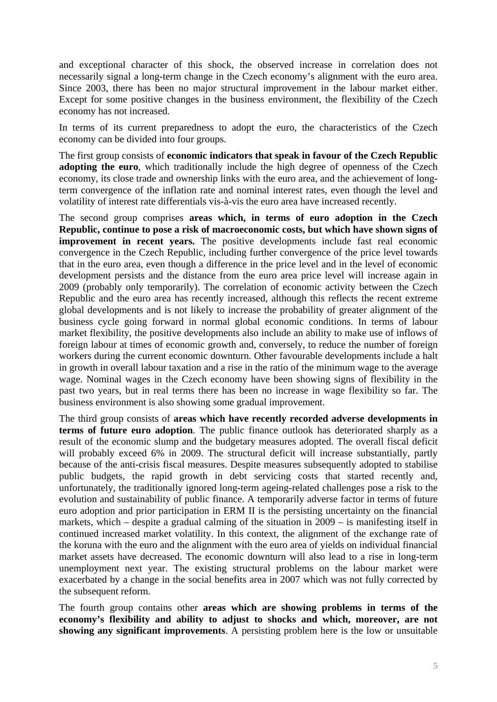and exceptional character of this shock, the observed increase in correlation does not necessarily signal a long-term change in the Czech economy's alignment with the euro area. Since 2003, there has been no major structural improvement in the labour market either. Except for some positive changes in the business environment, the flexibility of the Czech economy has not increased.

In terms of its current preparedness to adopt the euro, the characteristics of the Czech economy can be divided into four groups.

The first group consists of **economic indicators that speak in favour of the Czech Republic adopting the euro**, which traditionally include the high degree of openness of the Czech economy, its close trade and ownership links with the euro area, and the achievement of longterm convergence of the inflation rate and nominal interest rates, even though the level and volatility of interest rate differentials vis-à-vis the euro area have increased recently.

The second group comprises **areas which, in terms of euro adoption in the Czech Republic, continue to pose a risk of macroeconomic costs, but which have shown signs of improvement in recent years.** The positive developments include fast real economic convergence in the Czech Republic, including further convergence of the price level towards that in the euro area, even though a difference in the price level and in the level of economic development persists and the distance from the euro area price level will increase again in 2009 (probably only temporarily). The correlation of economic activity between the Czech Republic and the euro area has recently increased, although this reflects the recent extreme global developments and is not likely to increase the probability of greater alignment of the business cycle going forward in normal global economic conditions. In terms of labour market flexibility, the positive developments also include an ability to make use of inflows of foreign labour at times of economic growth and, conversely, to reduce the number of foreign workers during the current economic downturn. Other favourable developments include a halt in growth in overall labour taxation and a rise in the ratio of the minimum wage to the average wage. Nominal wages in the Czech economy have been showing signs of flexibility in the past two years, but in real terms there has been no increase in wage flexibility so far. The business environment is also showing some gradual improvement.

The third group consists of **areas which have recently recorded adverse developments in terms of future euro adoption**. The public finance outlook has deteriorated sharply as a result of the economic slump and the budgetary measures adopted. The overall fiscal deficit will probably exceed 6% in 2009. The structural deficit will increase substantially, partly because of the anti-crisis fiscal measures. Despite measures subsequently adopted to stabilise public budgets, the rapid growth in debt servicing costs that started recently and, unfortunately, the traditionally ignored long-term ageing-related challenges pose a risk to the evolution and sustainability of public finance. A temporarily adverse factor in terms of future euro adoption and prior participation in ERM II is the persisting uncertainty on the financial markets, which – despite a gradual calming of the situation in 2009 – is manifesting itself in continued increased market volatility. In this context, the alignment of the exchange rate of the koruna with the euro and the alignment with the euro area of yields on individual financial market assets have decreased. The economic downturn will also lead to a rise in long-term unemployment next year. The existing structural problems on the labour market were exacerbated by a change in the social benefits area in 2007 which was not fully corrected by the subsequent reform.

The fourth group contains other **areas which are showing problems in terms of the economy's flexibility and ability to adjust to shocks and which, moreover, are not showing any significant improvements**. A persisting problem here is the low or unsuitable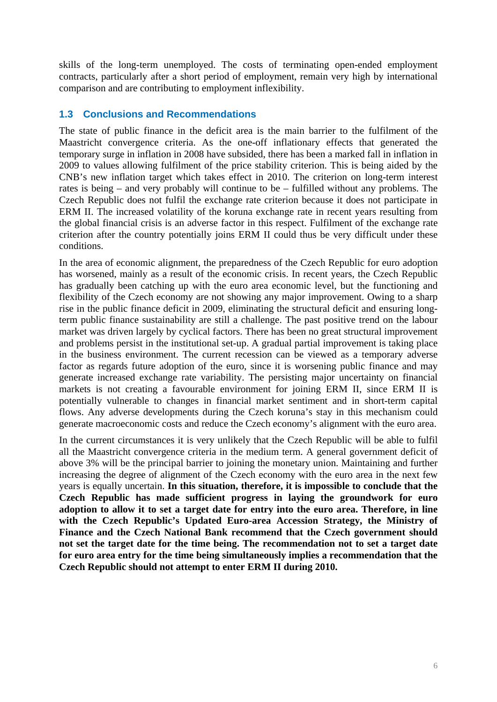skills of the long-term unemployed. The costs of terminating open-ended employment contracts, particularly after a short period of employment, remain very high by international comparison and are contributing to employment inflexibility.

### **1.3 Conclusions and Recommendations**

The state of public finance in the deficit area is the main barrier to the fulfilment of the Maastricht convergence criteria. As the one-off inflationary effects that generated the temporary surge in inflation in 2008 have subsided, there has been a marked fall in inflation in 2009 to values allowing fulfilment of the price stability criterion. This is being aided by the CNB's new inflation target which takes effect in 2010. The criterion on long-term interest rates is being – and very probably will continue to be – fulfilled without any problems. The Czech Republic does not fulfil the exchange rate criterion because it does not participate in ERM II. The increased volatility of the koruna exchange rate in recent years resulting from the global financial crisis is an adverse factor in this respect. Fulfilment of the exchange rate criterion after the country potentially joins ERM II could thus be very difficult under these conditions.

In the area of economic alignment, the preparedness of the Czech Republic for euro adoption has worsened, mainly as a result of the economic crisis. In recent years, the Czech Republic has gradually been catching up with the euro area economic level, but the functioning and flexibility of the Czech economy are not showing any major improvement. Owing to a sharp rise in the public finance deficit in 2009, eliminating the structural deficit and ensuring longterm public finance sustainability are still a challenge. The past positive trend on the labour market was driven largely by cyclical factors. There has been no great structural improvement and problems persist in the institutional set-up. A gradual partial improvement is taking place in the business environment. The current recession can be viewed as a temporary adverse factor as regards future adoption of the euro, since it is worsening public finance and may generate increased exchange rate variability. The persisting major uncertainty on financial markets is not creating a favourable environment for joining ERM II, since ERM II is potentially vulnerable to changes in financial market sentiment and in short-term capital flows. Any adverse developments during the Czech koruna's stay in this mechanism could generate macroeconomic costs and reduce the Czech economy's alignment with the euro area.

In the current circumstances it is very unlikely that the Czech Republic will be able to fulfil all the Maastricht convergence criteria in the medium term. A general government deficit of above 3% will be the principal barrier to joining the monetary union. Maintaining and further increasing the degree of alignment of the Czech economy with the euro area in the next few years is equally uncertain. **In this situation, therefore, it is impossible to conclude that the Czech Republic has made sufficient progress in laying the groundwork for euro adoption to allow it to set a target date for entry into the euro area. Therefore, in line with the Czech Republic's Updated Euro-area Accession Strategy, the Ministry of Finance and the Czech National Bank recommend that the Czech government should not set the target date for the time being. The recommendation not to set a target date for euro area entry for the time being simultaneously implies a recommendation that the Czech Republic should not attempt to enter ERM II during 2010.**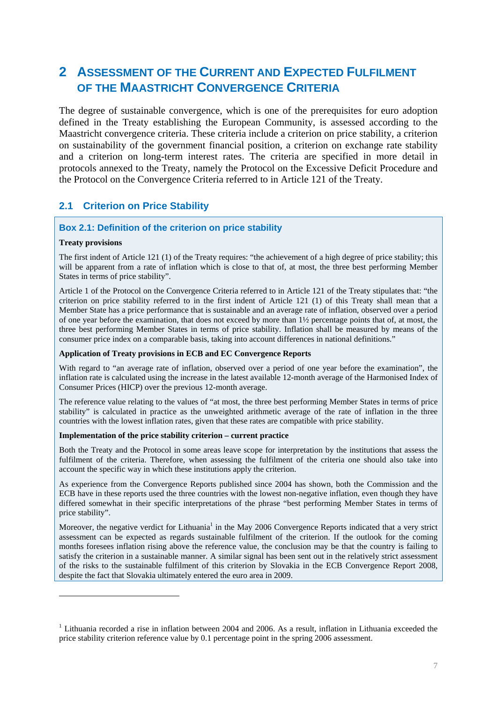# **2 ASSESSMENT OF THE CURRENT AND EXPECTED FULFILMENT OF THE MAASTRICHT CONVERGENCE CRITERIA**

The degree of sustainable convergence, which is one of the prerequisites for euro adoption defined in the Treaty establishing the European Community, is assessed according to the Maastricht convergence criteria. These criteria include a criterion on price stability, a criterion on sustainability of the government financial position, a criterion on exchange rate stability and a criterion on long-term interest rates. The criteria are specified in more detail in protocols annexed to the Treaty, namely the Protocol on the Excessive Deficit Procedure and the Protocol on the Convergence Criteria referred to in Article 121 of the Treaty.

## **2.1 Criterion on Price Stability**

#### **Box 2.1: Definition of the criterion on price stability**

#### **Treaty provisions**

1

The first indent of Article 121 (1) of the Treaty requires: "the achievement of a high degree of price stability; this will be apparent from a rate of inflation which is close to that of, at most, the three best performing Member States in terms of price stability".

Article 1 of the Protocol on the Convergence Criteria referred to in Article 121 of the Treaty stipulates that: "the criterion on price stability referred to in the first indent of Article 121 (1) of this Treaty shall mean that a Member State has a price performance that is sustainable and an average rate of inflation, observed over a period of one year before the examination, that does not exceed by more than 1½ percentage points that of, at most, the three best performing Member States in terms of price stability. Inflation shall be measured by means of the consumer price index on a comparable basis, taking into account differences in national definitions."

#### **Application of Treaty provisions in ECB and EC Convergence Reports**

With regard to "an average rate of inflation, observed over a period of one year before the examination", the inflation rate is calculated using the increase in the latest available 12-month average of the Harmonised Index of Consumer Prices (HICP) over the previous 12-month average.

The reference value relating to the values of "at most, the three best performing Member States in terms of price stability" is calculated in practice as the unweighted arithmetic average of the rate of inflation in the three countries with the lowest inflation rates, given that these rates are compatible with price stability.

#### **Implementation of the price stability criterion – current practice**

Both the Treaty and the Protocol in some areas leave scope for interpretation by the institutions that assess the fulfilment of the criteria. Therefore, when assessing the fulfilment of the criteria one should also take into account the specific way in which these institutions apply the criterion.

As experience from the Convergence Reports published since 2004 has shown, both the Commission and the ECB have in these reports used the three countries with the lowest non-negative inflation, even though they have differed somewhat in their specific interpretations of the phrase "best performing Member States in terms of price stability".

Moreover, the negative verdict for Lithuania<sup>1</sup> in the May 2006 Convergence Reports indicated that a very strict assessment can be expected as regards sustainable fulfilment of the criterion. If the outlook for the coming months foresees inflation rising above the reference value, the conclusion may be that the country is failing to satisfy the criterion in a sustainable manner. A similar signal has been sent out in the relatively strict assessment of the risks to the sustainable fulfilment of this criterion by Slovakia in the ECB Convergence Report 2008, despite the fact that Slovakia ultimately entered the euro area in 2009.

<sup>&</sup>lt;sup>1</sup> Lithuania recorded a rise in inflation between 2004 and 2006. As a result, inflation in Lithuania exceeded the price stability criterion reference value by 0.1 percentage point in the spring 2006 assessment.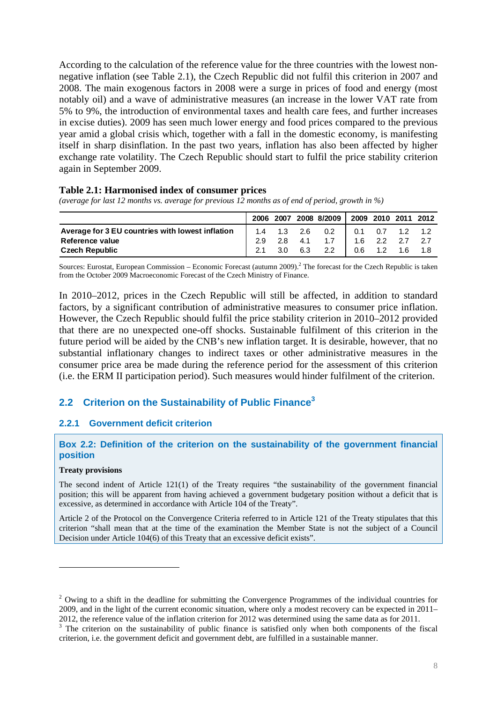According to the calculation of the reference value for the three countries with the lowest nonnegative inflation (see Table 2.1), the Czech Republic did not fulfil this criterion in 2007 and 2008. The main exogenous factors in 2008 were a surge in prices of food and energy (most notably oil) and a wave of administrative measures (an increase in the lower VAT rate from 5% to 9%, the introduction of environmental taxes and health care fees, and further increases in excise duties). 2009 has seen much lower energy and food prices compared to the previous year amid a global crisis which, together with a fall in the domestic economy, is manifesting itself in sharp disinflation. In the past two years, inflation has also been affected by higher exchange rate volatility. The Czech Republic should start to fulfil the price stability criterion again in September 2009.

#### **Table 2.1: Harmonised index of consumer prices**

*(average for last 12 months vs. average for previous 12 months as of end of period, growth in %)* 

|                                                  |     |                  |           | 2006 2007 2008 8/2009 2009 2010 2011 2012 |                   |                         |  |
|--------------------------------------------------|-----|------------------|-----------|-------------------------------------------|-------------------|-------------------------|--|
| Average for 3 EU countries with lowest inflation |     | 1.4  1.3  2.6    |           | $0.2$                                     |                   | $0.1$ $0.7$ $1.2$ $1.2$ |  |
| Reference value                                  | 2.9 |                  | $2.8$ 4.1 | 1.7                                       | $1.6$ $2.2$ $2.7$ |                         |  |
| <b>Czech Republic</b>                            |     | 3.0 <sub>2</sub> | 6.3       | 2.2                                       | $0.6$ 1.2         | 1.6                     |  |

Sources: Eurostat, European Commission – Economic Forecast (autumn 2009).<sup>2</sup> The forecast for the Czech Republic is taken from the October 2009 Macroeconomic Forecast of the Czech Ministry of Finance.

In 2010–2012, prices in the Czech Republic will still be affected, in addition to standard factors, by a significant contribution of administrative measures to consumer price inflation. However, the Czech Republic should fulfil the price stability criterion in 2010–2012 provided that there are no unexpected one-off shocks. Sustainable fulfilment of this criterion in the future period will be aided by the CNB's new inflation target. It is desirable, however, that no substantial inflationary changes to indirect taxes or other administrative measures in the consumer price area be made during the reference period for the assessment of this criterion (i.e. the ERM II participation period). Such measures would hinder fulfilment of the criterion.

## **2.2 Criterion on the Sustainability of Public Finance3**

#### **2.2.1 Government deficit criterion**

#### **Box 2.2: Definition of the criterion on the sustainability of the government financial position**

#### **Treaty provisions**

1

The second indent of Article 121(1) of the Treaty requires "the sustainability of the government financial position; this will be apparent from having achieved a government budgetary position without a deficit that is excessive, as determined in accordance with Article 104 of the Treaty".

Article 2 of the Protocol on the Convergence Criteria referred to in Article 121 of the Treaty stipulates that this criterion "shall mean that at the time of the examination the Member State is not the subject of a Council Decision under Article 104(6) of this Treaty that an excessive deficit exists".

<sup>&</sup>lt;sup>2</sup> Owing to a shift in the deadline for submitting the Convergence Programmes of the individual countries for 2009, and in the light of the current economic situation, where only a modest recovery can be expected in 2011– 2012, the reference value of the inflation criterion for 2012 was determined using the same data as for 2011.

 $3$  The criterion on the sustainability of public finance is satisfied only when both components of the fiscal criterion, i.e. the government deficit and government debt, are fulfilled in a sustainable manner.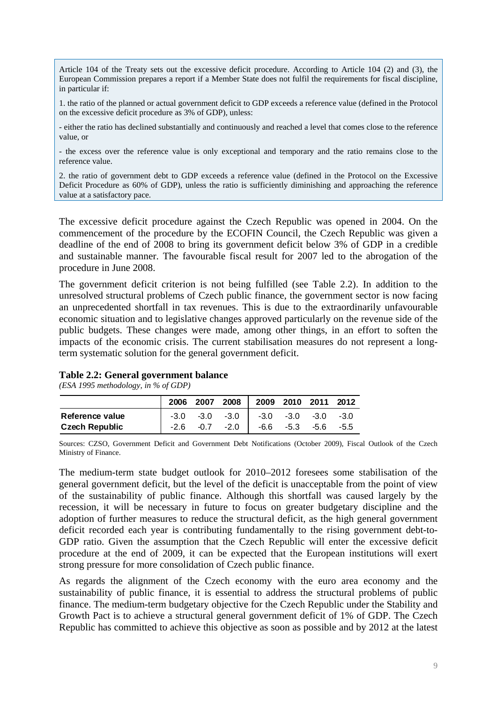Article 104 of the Treaty sets out the excessive deficit procedure. According to Article 104 (2) and (3), the European Commission prepares a report if a Member State does not fulfil the requirements for fiscal discipline, in particular if:

1. the ratio of the planned or actual government deficit to GDP exceeds a reference value (defined in the Protocol on the excessive deficit procedure as 3% of GDP), unless:

- either the ratio has declined substantially and continuously and reached a level that comes close to the reference value, or

- the excess over the reference value is only exceptional and temporary and the ratio remains close to the reference value.

2. the ratio of government debt to GDP exceeds a reference value (defined in the Protocol on the Excessive Deficit Procedure as 60% of GDP), unless the ratio is sufficiently diminishing and approaching the reference value at a satisfactory pace.

The excessive deficit procedure against the Czech Republic was opened in 2004. On the commencement of the procedure by the ECOFIN Council, the Czech Republic was given a deadline of the end of 2008 to bring its government deficit below 3% of GDP in a credible and sustainable manner. The favourable fiscal result for 2007 led to the abrogation of the procedure in June 2008.

The government deficit criterion is not being fulfilled (see Table 2.2). In addition to the unresolved structural problems of Czech public finance, the government sector is now facing an unprecedented shortfall in tax revenues. This is due to the extraordinarily unfavourable economic situation and to legislative changes approved particularly on the revenue side of the public budgets. These changes were made, among other things, in an effort to soften the impacts of the economic crisis. The current stabilisation measures do not represent a longterm systematic solution for the general government deficit.

#### **Table 2.2: General government balance**

*(ESA 1995 methodology, in % of GDP)* 

|                       | 2006 |      |        | 2007 2008 2009 2010 2011 2012             |  |      |
|-----------------------|------|------|--------|-------------------------------------------|--|------|
| Reference value       |      |      |        | $-3.0$ $-3.0$ $-3.0$ $-3.0$ $-3.0$ $-3.0$ |  | -3.0 |
| <b>Czech Republic</b> | -2.6 | -0.7 | $-2.0$ | $1 - 6.6 - 5.3 - 5.6$                     |  | -5.5 |

Sources: CZSO, Government Deficit and Government Debt Notifications (October 2009), Fiscal Outlook of the Czech Ministry of Finance.

The medium-term state budget outlook for 2010–2012 foresees some stabilisation of the general government deficit, but the level of the deficit is unacceptable from the point of view of the sustainability of public finance. Although this shortfall was caused largely by the recession, it will be necessary in future to focus on greater budgetary discipline and the adoption of further measures to reduce the structural deficit, as the high general government deficit recorded each year is contributing fundamentally to the rising government debt-to-GDP ratio. Given the assumption that the Czech Republic will enter the excessive deficit procedure at the end of 2009, it can be expected that the European institutions will exert strong pressure for more consolidation of Czech public finance.

As regards the alignment of the Czech economy with the euro area economy and the sustainability of public finance, it is essential to address the structural problems of public finance. The medium-term budgetary objective for the Czech Republic under the Stability and Growth Pact is to achieve a structural general government deficit of 1% of GDP. The Czech Republic has committed to achieve this objective as soon as possible and by 2012 at the latest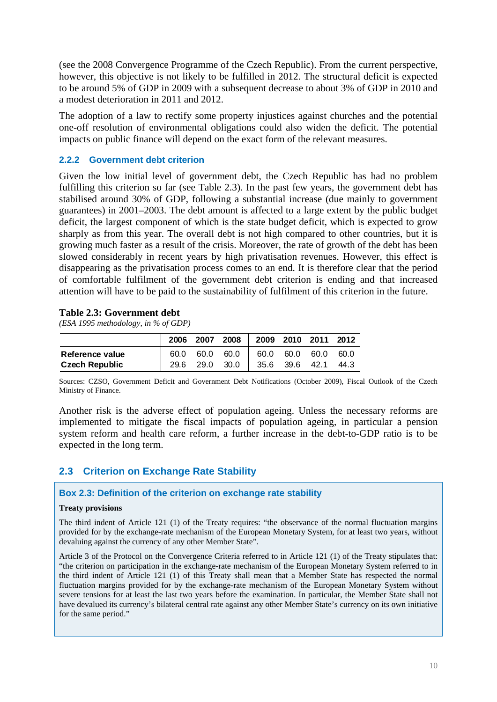(see the 2008 Convergence Programme of the Czech Republic). From the current perspective, however, this objective is not likely to be fulfilled in 2012. The structural deficit is expected to be around 5% of GDP in 2009 with a subsequent decrease to about 3% of GDP in 2010 and a modest deterioration in 2011 and 2012.

The adoption of a law to rectify some property injustices against churches and the potential one-off resolution of environmental obligations could also widen the deficit. The potential impacts on public finance will depend on the exact form of the relevant measures.

### **2.2.2 Government debt criterion**

Given the low initial level of government debt, the Czech Republic has had no problem fulfilling this criterion so far (see Table 2.3). In the past few years, the government debt has stabilised around 30% of GDP, following a substantial increase (due mainly to government guarantees) in 2001–2003. The debt amount is affected to a large extent by the public budget deficit, the largest component of which is the state budget deficit, which is expected to grow sharply as from this year. The overall debt is not high compared to other countries, but it is growing much faster as a result of the crisis. Moreover, the rate of growth of the debt has been slowed considerably in recent years by high privatisation revenues. However, this effect is disappearing as the privatisation process comes to an end. It is therefore clear that the period of comfortable fulfilment of the government debt criterion is ending and that increased attention will have to be paid to the sustainability of fulfilment of this criterion in the future.

#### **Table 2.3: Government debt**

*(ESA 1995 methodology, in % of GDP)* 

|                       | 2006 |  | $2007$ 2008 2009 2010 2011 2012    |  |      |
|-----------------------|------|--|------------------------------------|--|------|
| Reference value       |      |  | 60.0 60.0 60.0 60.0 60.0 60.0 60.0 |  |      |
| <b>Czech Republic</b> |      |  | 29.6 29.0 30.0 35.6 39.6 42.1      |  | 44.3 |

Sources: CZSO, Government Deficit and Government Debt Notifications (October 2009), Fiscal Outlook of the Czech Ministry of Finance.

Another risk is the adverse effect of population ageing. Unless the necessary reforms are implemented to mitigate the fiscal impacts of population ageing, in particular a pension system reform and health care reform, a further increase in the debt-to-GDP ratio is to be expected in the long term.

# **2.3 Criterion on Exchange Rate Stability**

#### **Box 2.3: Definition of the criterion on exchange rate stability**

#### **Treaty provisions**

The third indent of Article 121 (1) of the Treaty requires: "the observance of the normal fluctuation margins provided for by the exchange-rate mechanism of the European Monetary System, for at least two years, without devaluing against the currency of any other Member State".

Article 3 of the Protocol on the Convergence Criteria referred to in Article 121 (1) of the Treaty stipulates that: "the criterion on participation in the exchange-rate mechanism of the European Monetary System referred to in the third indent of Article 121 (1) of this Treaty shall mean that a Member State has respected the normal fluctuation margins provided for by the exchange-rate mechanism of the European Monetary System without severe tensions for at least the last two years before the examination. In particular, the Member State shall not have devalued its currency's bilateral central rate against any other Member State's currency on its own initiative for the same period."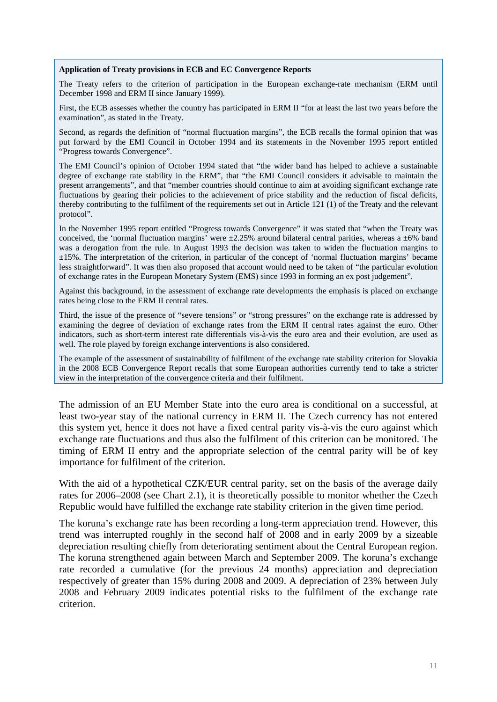#### **Application of Treaty provisions in ECB and EC Convergence Reports**

The Treaty refers to the criterion of participation in the European exchange-rate mechanism (ERM until December 1998 and ERM II since January 1999).

First, the ECB assesses whether the country has participated in ERM II "for at least the last two years before the examination", as stated in the Treaty.

Second, as regards the definition of "normal fluctuation margins", the ECB recalls the formal opinion that was put forward by the EMI Council in October 1994 and its statements in the November 1995 report entitled "Progress towards Convergence".

The EMI Council's opinion of October 1994 stated that "the wider band has helped to achieve a sustainable degree of exchange rate stability in the ERM", that "the EMI Council considers it advisable to maintain the present arrangements", and that "member countries should continue to aim at avoiding significant exchange rate fluctuations by gearing their policies to the achievement of price stability and the reduction of fiscal deficits, thereby contributing to the fulfilment of the requirements set out in Article 121 (1) of the Treaty and the relevant protocol".

In the November 1995 report entitled "Progress towards Convergence" it was stated that "when the Treaty was conceived, the 'normal fluctuation margins' were  $\pm 2.25\%$  around bilateral central parities, whereas a  $\pm 6\%$  band was a derogation from the rule. In August 1993 the decision was taken to widen the fluctuation margins to ±15%. The interpretation of the criterion, in particular of the concept of 'normal fluctuation margins' became less straightforward". It was then also proposed that account would need to be taken of "the particular evolution of exchange rates in the European Monetary System (EMS) since 1993 in forming an ex post judgement".

Against this background, in the assessment of exchange rate developments the emphasis is placed on exchange rates being close to the ERM II central rates.

Third, the issue of the presence of "severe tensions" or "strong pressures" on the exchange rate is addressed by examining the degree of deviation of exchange rates from the ERM II central rates against the euro. Other indicators, such as short-term interest rate differentials vis-à-vis the euro area and their evolution, are used as well. The role played by foreign exchange interventions is also considered.

The example of the assessment of sustainability of fulfilment of the exchange rate stability criterion for Slovakia in the 2008 ECB Convergence Report recalls that some European authorities currently tend to take a stricter view in the interpretation of the convergence criteria and their fulfilment.

The admission of an EU Member State into the euro area is conditional on a successful, at least two-year stay of the national currency in ERM II. The Czech currency has not entered this system yet, hence it does not have a fixed central parity vis-à-vis the euro against which exchange rate fluctuations and thus also the fulfilment of this criterion can be monitored. The timing of ERM II entry and the appropriate selection of the central parity will be of key importance for fulfilment of the criterion.

With the aid of a hypothetical CZK/EUR central parity, set on the basis of the average daily rates for 2006–2008 (see Chart 2.1), it is theoretically possible to monitor whether the Czech Republic would have fulfilled the exchange rate stability criterion in the given time period.

The koruna's exchange rate has been recording a long-term appreciation trend. However, this trend was interrupted roughly in the second half of 2008 and in early 2009 by a sizeable depreciation resulting chiefly from deteriorating sentiment about the Central European region. The koruna strengthened again between March and September 2009. The koruna's exchange rate recorded a cumulative (for the previous 24 months) appreciation and depreciation respectively of greater than 15% during 2008 and 2009. A depreciation of 23% between July 2008 and February 2009 indicates potential risks to the fulfilment of the exchange rate criterion.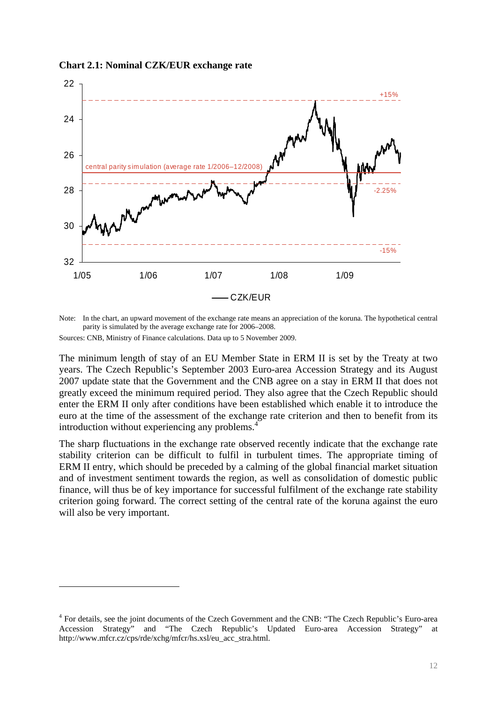**Chart 2.1: Nominal CZK/EUR exchange rate** 



Note: In the chart, an upward movement of the exchange rate means an appreciation of the koruna. The hypothetical central parity is simulated by the average exchange rate for 2006–2008.

Sources: CNB, Ministry of Finance calculations. Data up to 5 November 2009.

<u>.</u>

The minimum length of stay of an EU Member State in ERM II is set by the Treaty at two years. The Czech Republic's September 2003 Euro-area Accession Strategy and its August 2007 update state that the Government and the CNB agree on a stay in ERM II that does not greatly exceed the minimum required period. They also agree that the Czech Republic should enter the ERM II only after conditions have been established which enable it to introduce the euro at the time of the assessment of the exchange rate criterion and then to benefit from its introduction without experiencing any problems.<sup>4</sup>

The sharp fluctuations in the exchange rate observed recently indicate that the exchange rate stability criterion can be difficult to fulfil in turbulent times. The appropriate timing of ERM II entry, which should be preceded by a calming of the global financial market situation and of investment sentiment towards the region, as well as consolidation of domestic public finance, will thus be of key importance for successful fulfilment of the exchange rate stability criterion going forward. The correct setting of the central rate of the koruna against the euro will also be very important.

<sup>&</sup>lt;sup>4</sup> For details, see the joint documents of the Czech Government and the CNB: "The Czech Republic's Euro-area Accession Strategy" and "The Czech Republic's Updated Euro-area Accession Strategy" http://www.mfcr.cz/cps/rde/xchg/mfcr/hs.xsl/eu\_acc\_stra.html.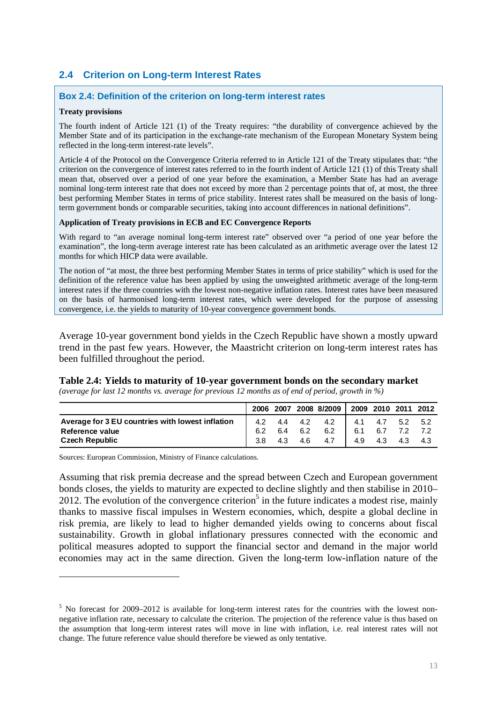# **2.4 Criterion on Long-term Interest Rates**

#### **Box 2.4: Definition of the criterion on long-term interest rates**

#### **Treaty provisions**

The fourth indent of Article 121 (1) of the Treaty requires: "the durability of convergence achieved by the Member State and of its participation in the exchange-rate mechanism of the European Monetary System being reflected in the long-term interest-rate levels".

Article 4 of the Protocol on the Convergence Criteria referred to in Article 121 of the Treaty stipulates that: "the criterion on the convergence of interest rates referred to in the fourth indent of Article 121 (1) of this Treaty shall mean that, observed over a period of one year before the examination, a Member State has had an average nominal long-term interest rate that does not exceed by more than 2 percentage points that of, at most, the three best performing Member States in terms of price stability. Interest rates shall be measured on the basis of longterm government bonds or comparable securities, taking into account differences in national definitions".

#### **Application of Treaty provisions in ECB and EC Convergence Reports**

With regard to "an average nominal long-term interest rate" observed over "a period of one year before the examination", the long-term average interest rate has been calculated as an arithmetic average over the latest 12 months for which HICP data were available.

The notion of "at most, the three best performing Member States in terms of price stability" which is used for the definition of the reference value has been applied by using the unweighted arithmetic average of the long-term interest rates if the three countries with the lowest non-negative inflation rates. Interest rates have been measured on the basis of harmonised long-term interest rates, which were developed for the purpose of assessing convergence, i.e. the yields to maturity of 10-year convergence government bonds.

Average 10-year government bond yields in the Czech Republic have shown a mostly upward trend in the past few years. However, the Maastricht criterion on long-term interest rates has been fulfilled throughout the period.

#### **Table 2.4: Yields to maturity of 10-year government bonds on the secondary market**

*(average for last 12 months vs. average for previous 12 months as of end of period, growth in %)* 

|                                                  |     |         |         | 2006 2007 2008 8/2009 2009 2010 2011 2012 |                 |  |
|--------------------------------------------------|-----|---------|---------|-------------------------------------------|-----------------|--|
| Average for 3 EU countries with lowest inflation |     |         |         | 4.2 4.4 4.2 4.2 4.1 4.7 5.2 5.2           |                 |  |
| Reference value                                  |     | 6.4 6.2 |         | 6.2 6.1 6.7 7.2 7.2                       |                 |  |
| <b>Czech Republic</b>                            | 3.8 |         | 4.3 4.6 | $4.7 \quad \blacksquare$                  | 4.9 4.3 4.3 4.3 |  |

Sources: European Commission, Ministry of Finance calculations.

1

Assuming that risk premia decrease and the spread between Czech and European government bonds closes, the yields to maturity are expected to decline slightly and then stabilise in 2010–  $2012$ . The evolution of the convergence criterion<sup>5</sup> in the future indicates a modest rise, mainly thanks to massive fiscal impulses in Western economies, which, despite a global decline in risk premia, are likely to lead to higher demanded yields owing to concerns about fiscal sustainability. Growth in global inflationary pressures connected with the economic and political measures adopted to support the financial sector and demand in the major world economies may act in the same direction. Given the long-term low-inflation nature of the

<sup>&</sup>lt;sup>5</sup> No forecast for 2009–2012 is available for long-term interest rates for the countries with the lowest nonnegative inflation rate, necessary to calculate the criterion. The projection of the reference value is thus based on the assumption that long-term interest rates will move in line with inflation, i.e. real interest rates will not change. The future reference value should therefore be viewed as only tentative.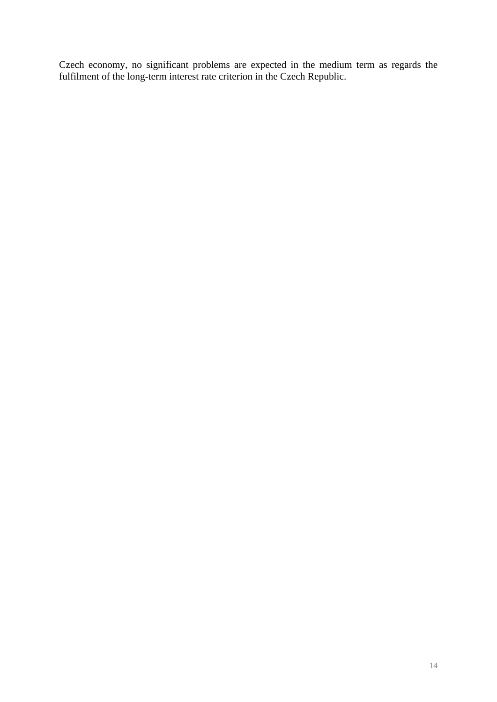Czech economy, no significant problems are expected in the medium term as regards the fulfilment of the long-term interest rate criterion in the Czech Republic.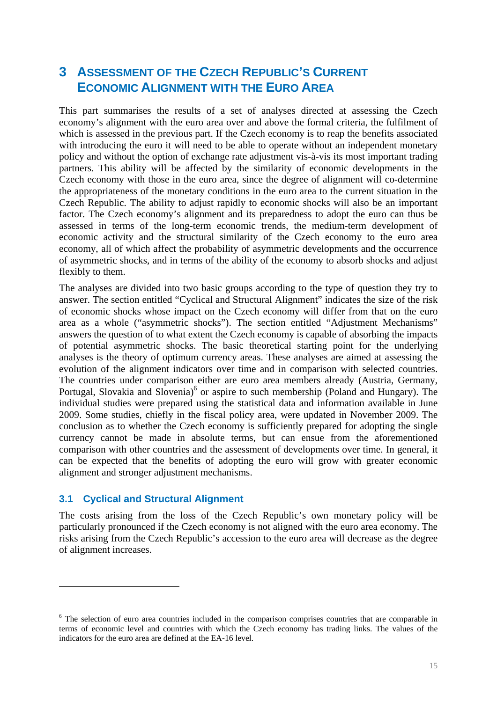# **3 ASSESSMENT OF THE CZECH REPUBLIC'S CURRENT ECONOMIC ALIGNMENT WITH THE EURO AREA**

This part summarises the results of a set of analyses directed at assessing the Czech economy's alignment with the euro area over and above the formal criteria, the fulfilment of which is assessed in the previous part. If the Czech economy is to reap the benefits associated with introducing the euro it will need to be able to operate without an independent monetary policy and without the option of exchange rate adjustment vis-à-vis its most important trading partners. This ability will be affected by the similarity of economic developments in the Czech economy with those in the euro area, since the degree of alignment will co-determine the appropriateness of the monetary conditions in the euro area to the current situation in the Czech Republic. The ability to adjust rapidly to economic shocks will also be an important factor. The Czech economy's alignment and its preparedness to adopt the euro can thus be assessed in terms of the long-term economic trends, the medium-term development of economic activity and the structural similarity of the Czech economy to the euro area economy, all of which affect the probability of asymmetric developments and the occurrence of asymmetric shocks, and in terms of the ability of the economy to absorb shocks and adjust flexibly to them.

The analyses are divided into two basic groups according to the type of question they try to answer. The section entitled "Cyclical and Structural Alignment" indicates the size of the risk of economic shocks whose impact on the Czech economy will differ from that on the euro area as a whole ("asymmetric shocks"). The section entitled "Adjustment Mechanisms" answers the question of to what extent the Czech economy is capable of absorbing the impacts of potential asymmetric shocks. The basic theoretical starting point for the underlying analyses is the theory of optimum currency areas. These analyses are aimed at assessing the evolution of the alignment indicators over time and in comparison with selected countries. The countries under comparison either are euro area members already (Austria, Germany, Portugal, Slovakia and Slovenia)<sup>6</sup> or aspire to such membership (Poland and Hungary). The individual studies were prepared using the statistical data and information available in June 2009. Some studies, chiefly in the fiscal policy area, were updated in November 2009. The conclusion as to whether the Czech economy is sufficiently prepared for adopting the single currency cannot be made in absolute terms, but can ensue from the aforementioned comparison with other countries and the assessment of developments over time. In general, it can be expected that the benefits of adopting the euro will grow with greater economic alignment and stronger adjustment mechanisms.

### **3.1 Cyclical and Structural Alignment**

<u>.</u>

The costs arising from the loss of the Czech Republic's own monetary policy will be particularly pronounced if the Czech economy is not aligned with the euro area economy. The risks arising from the Czech Republic's accession to the euro area will decrease as the degree of alignment increases.

<sup>&</sup>lt;sup>6</sup> The selection of euro area countries included in the comparison comprises countries that are comparable in terms of economic level and countries with which the Czech economy has trading links. The values of the indicators for the euro area are defined at the EA-16 level.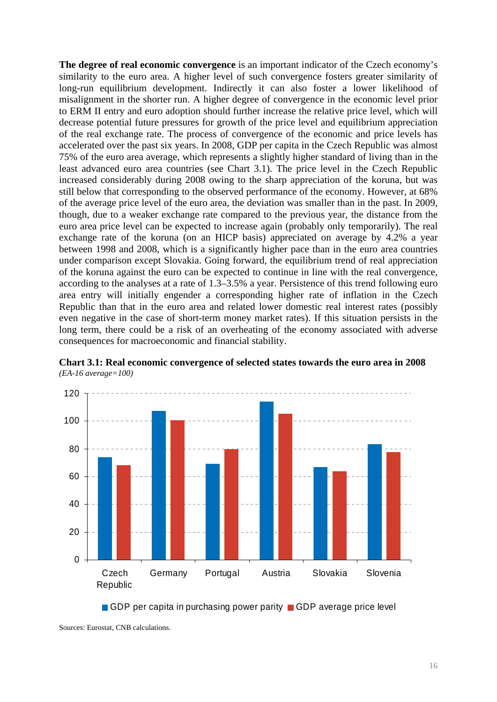**The degree of real economic convergence** is an important indicator of the Czech economy's similarity to the euro area. A higher level of such convergence fosters greater similarity of long-run equilibrium development. Indirectly it can also foster a lower likelihood of misalignment in the shorter run. A higher degree of convergence in the economic level prior to ERM II entry and euro adoption should further increase the relative price level, which will decrease potential future pressures for growth of the price level and equilibrium appreciation of the real exchange rate. The process of convergence of the economic and price levels has accelerated over the past six years. In 2008, GDP per capita in the Czech Republic was almost 75% of the euro area average, which represents a slightly higher standard of living than in the least advanced euro area countries (see Chart 3.1). The price level in the Czech Republic increased considerably during 2008 owing to the sharp appreciation of the koruna, but was still below that corresponding to the observed performance of the economy. However, at 68% of the average price level of the euro area, the deviation was smaller than in the past. In 2009, though, due to a weaker exchange rate compared to the previous year, the distance from the euro area price level can be expected to increase again (probably only temporarily). The real exchange rate of the koruna (on an HICP basis) appreciated on average by 4.2% a year between 1998 and 2008, which is a significantly higher pace than in the euro area countries under comparison except Slovakia. Going forward, the equilibrium trend of real appreciation of the koruna against the euro can be expected to continue in line with the real convergence, according to the analyses at a rate of 1.3–3.5% a year. Persistence of this trend following euro area entry will initially engender a corresponding higher rate of inflation in the Czech Republic than that in the euro area and related lower domestic real interest rates (possibly even negative in the case of short-term money market rates). If this situation persists in the long term, there could be a risk of an overheating of the economy associated with adverse consequences for macroeconomic and financial stability.



**Chart 3.1: Real economic convergence of selected states towards the euro area in 2008**  *(EA-16 average=100)* 

GDP per capita in purchasing power parity GDP average price level

Sources: Eurostat, CNB calculations.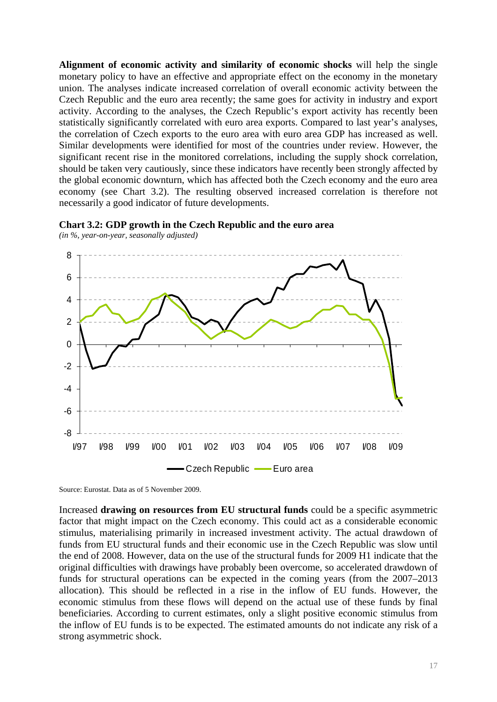**Alignment of economic activity and similarity of economic shocks** will help the single monetary policy to have an effective and appropriate effect on the economy in the monetary union. The analyses indicate increased correlation of overall economic activity between the Czech Republic and the euro area recently; the same goes for activity in industry and export activity. According to the analyses, the Czech Republic's export activity has recently been statistically significantly correlated with euro area exports. Compared to last year's analyses, the correlation of Czech exports to the euro area with euro area GDP has increased as well. Similar developments were identified for most of the countries under review. However, the significant recent rise in the monitored correlations, including the supply shock correlation, should be taken very cautiously, since these indicators have recently been strongly affected by the global economic downturn, which has affected both the Czech economy and the euro area economy (see Chart 3.2). The resulting observed increased correlation is therefore not necessarily a good indicator of future developments.



**Chart 3.2: GDP growth in the Czech Republic and the euro area** 

*(in %, year-on-year, seasonally adjusted)* 

Source: Eurostat. Data as of 5 November 2009.

Increased **drawing on resources from EU structural funds** could be a specific asymmetric factor that might impact on the Czech economy. This could act as a considerable economic stimulus, materialising primarily in increased investment activity. The actual drawdown of funds from EU structural funds and their economic use in the Czech Republic was slow until the end of 2008. However, data on the use of the structural funds for 2009 H1 indicate that the original difficulties with drawings have probably been overcome, so accelerated drawdown of funds for structural operations can be expected in the coming years (from the 2007–2013 allocation). This should be reflected in a rise in the inflow of EU funds. However, the economic stimulus from these flows will depend on the actual use of these funds by final beneficiaries. According to current estimates, only a slight positive economic stimulus from the inflow of EU funds is to be expected. The estimated amounts do not indicate any risk of a strong asymmetric shock.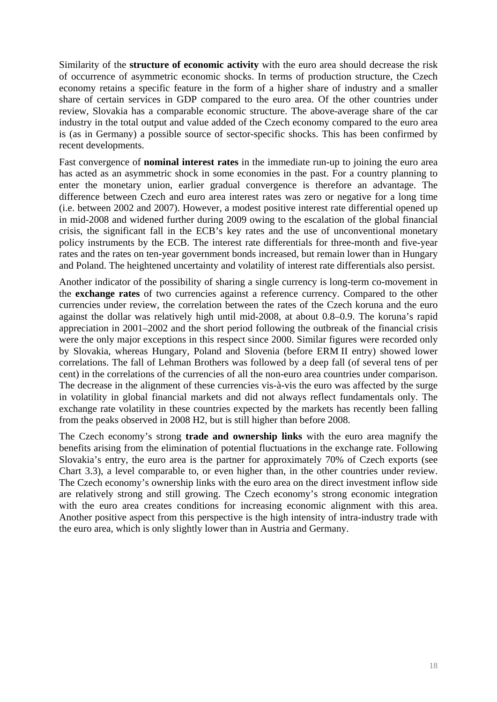Similarity of the **structure of economic activity** with the euro area should decrease the risk of occurrence of asymmetric economic shocks. In terms of production structure, the Czech economy retains a specific feature in the form of a higher share of industry and a smaller share of certain services in GDP compared to the euro area. Of the other countries under review, Slovakia has a comparable economic structure. The above-average share of the car industry in the total output and value added of the Czech economy compared to the euro area is (as in Germany) a possible source of sector-specific shocks. This has been confirmed by recent developments.

Fast convergence of **nominal interest rates** in the immediate run-up to joining the euro area has acted as an asymmetric shock in some economies in the past. For a country planning to enter the monetary union, earlier gradual convergence is therefore an advantage. The difference between Czech and euro area interest rates was zero or negative for a long time (i.e. between 2002 and 2007). However, a modest positive interest rate differential opened up in mid-2008 and widened further during 2009 owing to the escalation of the global financial crisis, the significant fall in the ECB's key rates and the use of unconventional monetary policy instruments by the ECB. The interest rate differentials for three-month and five-year rates and the rates on ten-year government bonds increased, but remain lower than in Hungary and Poland. The heightened uncertainty and volatility of interest rate differentials also persist.

Another indicator of the possibility of sharing a single currency is long-term co-movement in the **exchange rates** of two currencies against a reference currency. Compared to the other currencies under review, the correlation between the rates of the Czech koruna and the euro against the dollar was relatively high until mid-2008, at about 0.8–0.9. The koruna's rapid appreciation in 2001–2002 and the short period following the outbreak of the financial crisis were the only major exceptions in this respect since 2000. Similar figures were recorded only by Slovakia, whereas Hungary, Poland and Slovenia (before ERM II entry) showed lower correlations. The fall of Lehman Brothers was followed by a deep fall (of several tens of per cent) in the correlations of the currencies of all the non-euro area countries under comparison. The decrease in the alignment of these currencies vis-à-vis the euro was affected by the surge in volatility in global financial markets and did not always reflect fundamentals only. The exchange rate volatility in these countries expected by the markets has recently been falling from the peaks observed in 2008 H2, but is still higher than before 2008.

The Czech economy's strong **trade and ownership links** with the euro area magnify the benefits arising from the elimination of potential fluctuations in the exchange rate. Following Slovakia's entry, the euro area is the partner for approximately 70% of Czech exports (see Chart 3.3), a level comparable to, or even higher than, in the other countries under review. The Czech economy's ownership links with the euro area on the direct investment inflow side are relatively strong and still growing. The Czech economy's strong economic integration with the euro area creates conditions for increasing economic alignment with this area. Another positive aspect from this perspective is the high intensity of intra-industry trade with the euro area, which is only slightly lower than in Austria and Germany.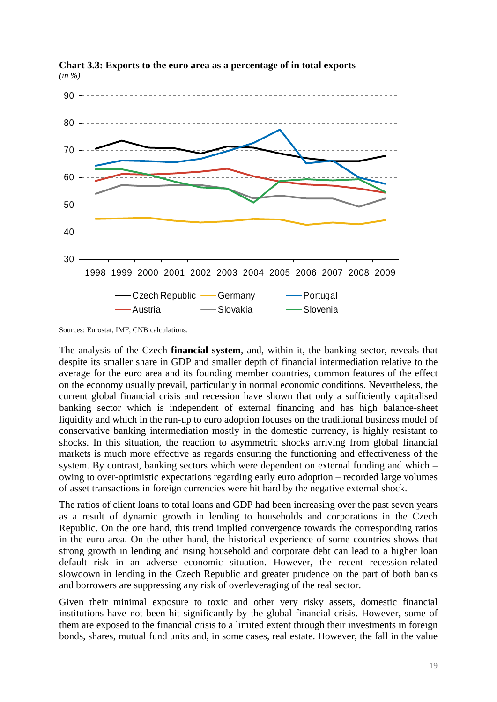

**Chart 3.3: Exports to the euro area as a percentage of in total exports**  *(in %)* 

Sources: Eurostat, IMF, CNB calculations.

The analysis of the Czech **financial system**, and, within it, the banking sector, reveals that despite its smaller share in GDP and smaller depth of financial intermediation relative to the average for the euro area and its founding member countries, common features of the effect on the economy usually prevail, particularly in normal economic conditions. Nevertheless, the current global financial crisis and recession have shown that only a sufficiently capitalised banking sector which is independent of external financing and has high balance-sheet liquidity and which in the run-up to euro adoption focuses on the traditional business model of conservative banking intermediation mostly in the domestic currency, is highly resistant to shocks. In this situation, the reaction to asymmetric shocks arriving from global financial markets is much more effective as regards ensuring the functioning and effectiveness of the system. By contrast, banking sectors which were dependent on external funding and which – owing to over-optimistic expectations regarding early euro adoption – recorded large volumes of asset transactions in foreign currencies were hit hard by the negative external shock.

The ratios of client loans to total loans and GDP had been increasing over the past seven years as a result of dynamic growth in lending to households and corporations in the Czech Republic. On the one hand, this trend implied convergence towards the corresponding ratios in the euro area. On the other hand, the historical experience of some countries shows that strong growth in lending and rising household and corporate debt can lead to a higher loan default risk in an adverse economic situation. However, the recent recession-related slowdown in lending in the Czech Republic and greater prudence on the part of both banks and borrowers are suppressing any risk of overleveraging of the real sector.

Given their minimal exposure to toxic and other very risky assets, domestic financial institutions have not been hit significantly by the global financial crisis. However, some of them are exposed to the financial crisis to a limited extent through their investments in foreign bonds, shares, mutual fund units and, in some cases, real estate. However, the fall in the value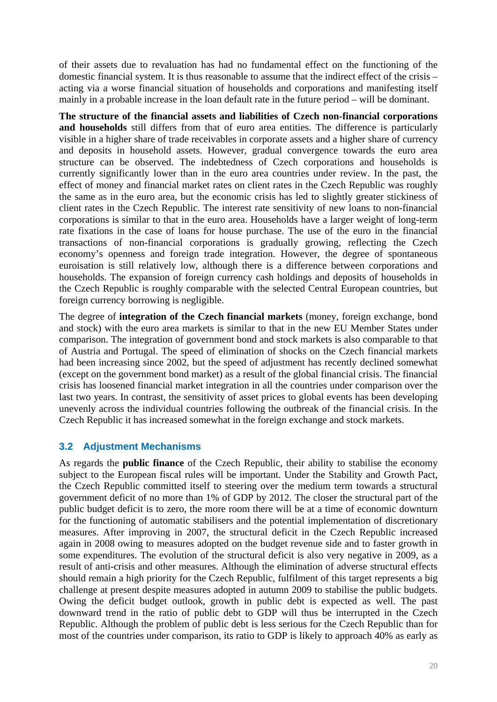of their assets due to revaluation has had no fundamental effect on the functioning of the domestic financial system. It is thus reasonable to assume that the indirect effect of the crisis – acting via a worse financial situation of households and corporations and manifesting itself mainly in a probable increase in the loan default rate in the future period – will be dominant.

**The structure of the financial assets and liabilities of Czech non-financial corporations and households** still differs from that of euro area entities. The difference is particularly visible in a higher share of trade receivables in corporate assets and a higher share of currency and deposits in household assets. However, gradual convergence towards the euro area structure can be observed. The indebtedness of Czech corporations and households is currently significantly lower than in the euro area countries under review. In the past, the effect of money and financial market rates on client rates in the Czech Republic was roughly the same as in the euro area, but the economic crisis has led to slightly greater stickiness of client rates in the Czech Republic. The interest rate sensitivity of new loans to non-financial corporations is similar to that in the euro area. Households have a larger weight of long-term rate fixations in the case of loans for house purchase. The use of the euro in the financial transactions of non-financial corporations is gradually growing, reflecting the Czech economy's openness and foreign trade integration. However, the degree of spontaneous euroisation is still relatively low, although there is a difference between corporations and households. The expansion of foreign currency cash holdings and deposits of households in the Czech Republic is roughly comparable with the selected Central European countries, but foreign currency borrowing is negligible.

The degree of **integration of the Czech financial markets** (money, foreign exchange, bond and stock) with the euro area markets is similar to that in the new EU Member States under comparison. The integration of government bond and stock markets is also comparable to that of Austria and Portugal. The speed of elimination of shocks on the Czech financial markets had been increasing since 2002, but the speed of adjustment has recently declined somewhat (except on the government bond market) as a result of the global financial crisis. The financial crisis has loosened financial market integration in all the countries under comparison over the last two years. In contrast, the sensitivity of asset prices to global events has been developing unevenly across the individual countries following the outbreak of the financial crisis. In the Czech Republic it has increased somewhat in the foreign exchange and stock markets.

# **3.2 Adjustment Mechanisms**

As regards the **public finance** of the Czech Republic, their ability to stabilise the economy subject to the European fiscal rules will be important. Under the Stability and Growth Pact, the Czech Republic committed itself to steering over the medium term towards a structural government deficit of no more than 1% of GDP by 2012. The closer the structural part of the public budget deficit is to zero, the more room there will be at a time of economic downturn for the functioning of automatic stabilisers and the potential implementation of discretionary measures. After improving in 2007, the structural deficit in the Czech Republic increased again in 2008 owing to measures adopted on the budget revenue side and to faster growth in some expenditures. The evolution of the structural deficit is also very negative in 2009, as a result of anti-crisis and other measures. Although the elimination of adverse structural effects should remain a high priority for the Czech Republic, fulfilment of this target represents a big challenge at present despite measures adopted in autumn 2009 to stabilise the public budgets. Owing the deficit budget outlook, growth in public debt is expected as well. The past downward trend in the ratio of public debt to GDP will thus be interrupted in the Czech Republic. Although the problem of public debt is less serious for the Czech Republic than for most of the countries under comparison, its ratio to GDP is likely to approach 40% as early as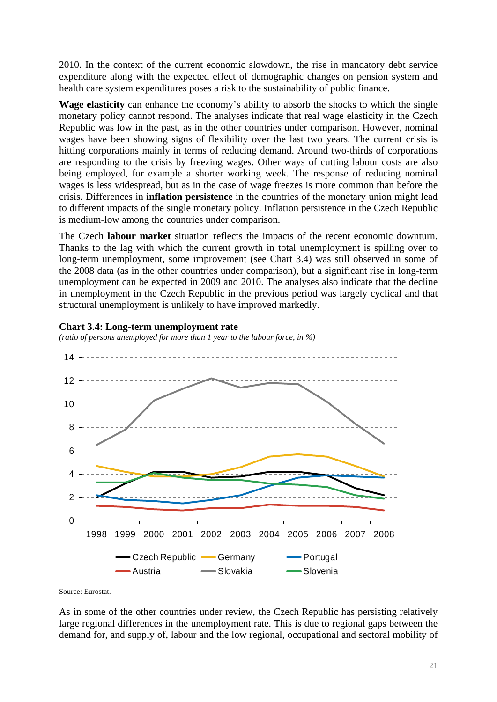2010. In the context of the current economic slowdown, the rise in mandatory debt service expenditure along with the expected effect of demographic changes on pension system and health care system expenditures poses a risk to the sustainability of public finance.

**Wage elasticity** can enhance the economy's ability to absorb the shocks to which the single monetary policy cannot respond. The analyses indicate that real wage elasticity in the Czech Republic was low in the past, as in the other countries under comparison. However, nominal wages have been showing signs of flexibility over the last two years. The current crisis is hitting corporations mainly in terms of reducing demand. Around two-thirds of corporations are responding to the crisis by freezing wages. Other ways of cutting labour costs are also being employed, for example a shorter working week. The response of reducing nominal wages is less widespread, but as in the case of wage freezes is more common than before the crisis. Differences in **inflation persistence** in the countries of the monetary union might lead to different impacts of the single monetary policy. Inflation persistence in the Czech Republic is medium-low among the countries under comparison.

The Czech **labour market** situation reflects the impacts of the recent economic downturn. Thanks to the lag with which the current growth in total unemployment is spilling over to long-term unemployment, some improvement (see Chart 3.4) was still observed in some of the 2008 data (as in the other countries under comparison), but a significant rise in long-term unemployment can be expected in 2009 and 2010. The analyses also indicate that the decline in unemployment in the Czech Republic in the previous period was largely cyclical and that structural unemployment is unlikely to have improved markedly.

#### **Chart 3.4: Long-term unemployment rate**

*(ratio of persons unemployed for more than 1 year to the labour force, in %)* 



Source: Eurostat.

As in some of the other countries under review, the Czech Republic has persisting relatively large regional differences in the unemployment rate. This is due to regional gaps between the demand for, and supply of, labour and the low regional, occupational and sectoral mobility of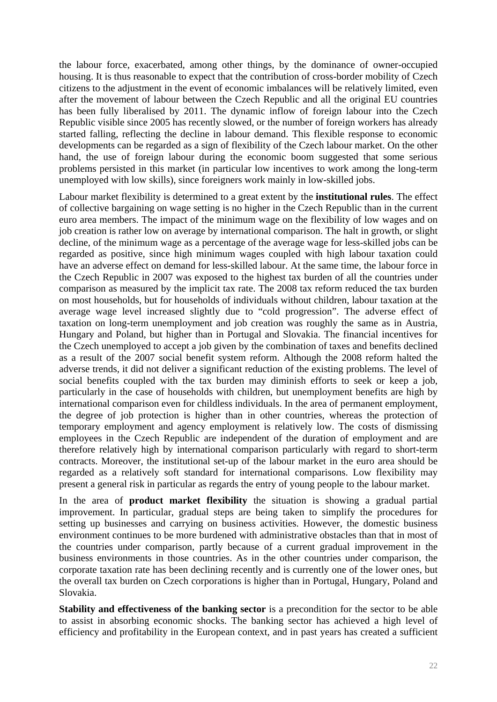the labour force, exacerbated, among other things, by the dominance of owner-occupied housing. It is thus reasonable to expect that the contribution of cross-border mobility of Czech citizens to the adjustment in the event of economic imbalances will be relatively limited, even after the movement of labour between the Czech Republic and all the original EU countries has been fully liberalised by 2011. The dynamic inflow of foreign labour into the Czech Republic visible since 2005 has recently slowed, or the number of foreign workers has already started falling, reflecting the decline in labour demand. This flexible response to economic developments can be regarded as a sign of flexibility of the Czech labour market. On the other hand, the use of foreign labour during the economic boom suggested that some serious problems persisted in this market (in particular low incentives to work among the long-term unemployed with low skills), since foreigners work mainly in low-skilled jobs.

Labour market flexibility is determined to a great extent by the **institutional rules**. The effect of collective bargaining on wage setting is no higher in the Czech Republic than in the current euro area members. The impact of the minimum wage on the flexibility of low wages and on job creation is rather low on average by international comparison. The halt in growth, or slight decline, of the minimum wage as a percentage of the average wage for less-skilled jobs can be regarded as positive, since high minimum wages coupled with high labour taxation could have an adverse effect on demand for less-skilled labour. At the same time, the labour force in the Czech Republic in 2007 was exposed to the highest tax burden of all the countries under comparison as measured by the implicit tax rate. The 2008 tax reform reduced the tax burden on most households, but for households of individuals without children, labour taxation at the average wage level increased slightly due to "cold progression". The adverse effect of taxation on long-term unemployment and job creation was roughly the same as in Austria, Hungary and Poland, but higher than in Portugal and Slovakia. The financial incentives for the Czech unemployed to accept a job given by the combination of taxes and benefits declined as a result of the 2007 social benefit system reform. Although the 2008 reform halted the adverse trends, it did not deliver a significant reduction of the existing problems. The level of social benefits coupled with the tax burden may diminish efforts to seek or keep a job, particularly in the case of households with children, but unemployment benefits are high by international comparison even for childless individuals. In the area of permanent employment, the degree of job protection is higher than in other countries, whereas the protection of temporary employment and agency employment is relatively low. The costs of dismissing employees in the Czech Republic are independent of the duration of employment and are therefore relatively high by international comparison particularly with regard to short-term contracts. Moreover, the institutional set-up of the labour market in the euro area should be regarded as a relatively soft standard for international comparisons. Low flexibility may present a general risk in particular as regards the entry of young people to the labour market.

In the area of **product market flexibility** the situation is showing a gradual partial improvement. In particular, gradual steps are being taken to simplify the procedures for setting up businesses and carrying on business activities. However, the domestic business environment continues to be more burdened with administrative obstacles than that in most of the countries under comparison, partly because of a current gradual improvement in the business environments in those countries. As in the other countries under comparison, the corporate taxation rate has been declining recently and is currently one of the lower ones, but the overall tax burden on Czech corporations is higher than in Portugal, Hungary, Poland and Slovakia.

**Stability and effectiveness of the banking sector** is a precondition for the sector to be able to assist in absorbing economic shocks. The banking sector has achieved a high level of efficiency and profitability in the European context, and in past years has created a sufficient